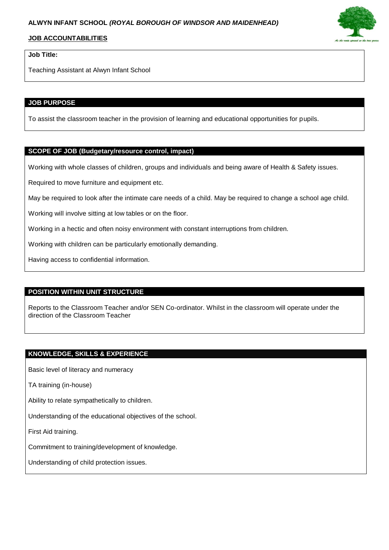## **JOB ACCOUNTABILITIES**

# **Job Title:**

Teaching Assistant at Alwyn Infant School

### **JOB PURPOSE**

To assist the classroom teacher in the provision of learning and educational opportunities for pupils.

#### **SCOPE OF JOB (Budgetary/resource control, impact)**

Working with whole classes of children, groups and individuals and being aware of Health & Safety issues.

Required to move furniture and equipment etc.

May be required to look after the intimate care needs of a child. May be required to change a school age child.

Working will involve sitting at low tables or on the floor.

Working in a hectic and often noisy environment with constant interruptions from children.

Working with children can be particularly emotionally demanding.

Having access to confidential information.

#### **POSITION WITHIN UNIT STRUCTURE**

Reports to the Classroom Teacher and/or SEN Co-ordinator. Whilst in the classroom will operate under the direction of the Classroom Teacher

#### **KNOWLEDGE, SKILLS & EXPERIENCE**

Basic level of literacy and numeracy

TA training (in-house)

Ability to relate sympathetically to children.

Understanding of the educational objectives of the school.

First Aid training.

Commitment to training/development of knowledge.

Understanding of child protection issues.